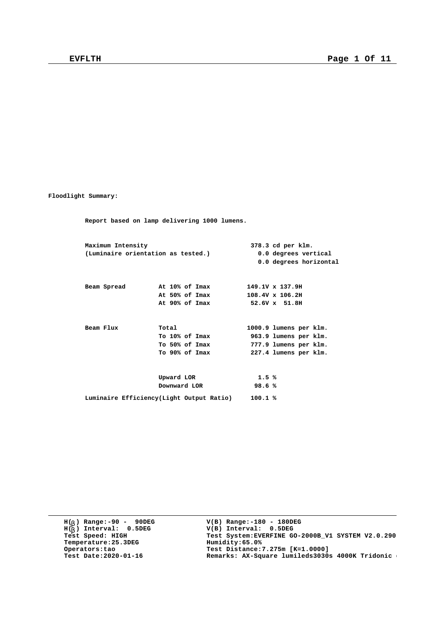**Floodlight Summary:**

**Report based on lamp delivering 1000 lumens. Maximum Intensity 378.3 cd per klm. (Luminaire orientation as tested.) 0.0 degrees vertical 0.0 degrees horizontal Beam Spread At 10% of Imax 149.1V x 137.9H At 50% of Imax 108.4V x 106.2H At 90% of Imax 52.6V x 51.8H Beam Flux Total 1000.9 lumens per klm. To 10% of Imax 963.9 lumens per klm. To 50% of Imax 777.9 lumens per klm. To 90% of Imax 227.4 lumens per klm. Upward LOR 1.5 % Downward LOR 98.6 % Luminaire Efficiency(Light Output Ratio) 100.1 %**

**H( ) Range:-90 - 90DEG** H(<sub>b</sub>) Range:-90 - 90DE<br>H(<sub>b</sub>) Interval: 0.5DEG **b Temperature:25.3DEG Humidity:65.0%**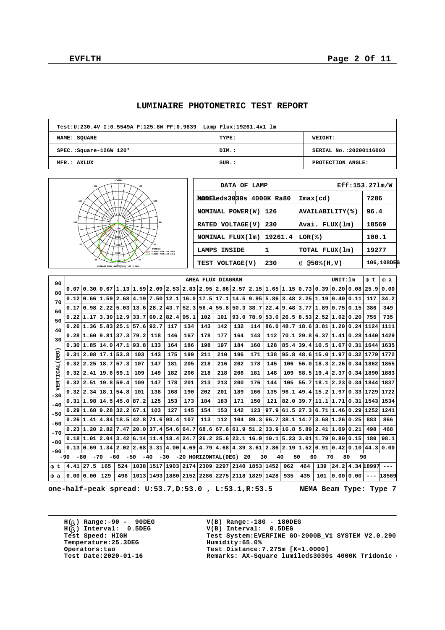$\sqrt{ }$ 

 $\overline{\phantom{a}}$ 

| Test:U:230.4V I:0.5549A P:125.8W PF:0.9839 Lamp Flux:19261.4x1 lm |       |                         |
|-------------------------------------------------------------------|-------|-------------------------|
| <b>NAME: SQUARE</b>                                               | TYPE: | <b>WEIGHT:</b>          |
| $SPEC.:$ Square-126W 120 $^{\circ}$                               | DIM.: | SERIAL No.: 20200116003 |
| MFR.: AXLUX                                                       | SUB.: | PROTECTION ANGLE:       |

#### **LUMINAIRE PHOTOMETRIC TEST REPORT**

| 150<br>$-150$<br>120<br>$-120$<br>$-90$<br>90<br>1500<br>Bobo<br>$-60$<br>60<br>4500<br><b>UNIT:cd</b><br>0.0DEG PLAN, 106.2deg<br>v<br>6000<br>0.000G PLAN, 108.4deg<br>٠<br>30<br>$-30$<br>7500 |  |
|---------------------------------------------------------------------------------------------------------------------------------------------------------------------------------------------------|--|
| AVERAGE BEAM ANGLE(50%):107.3 DEG                                                                                                                                                                 |  |

**-/+180**

| DATA OF LAMP                    |         | Eff:153.271m/W             |            |  |  |  |  |  |
|---------------------------------|---------|----------------------------|------------|--|--|--|--|--|
| <b>MODELeds3030s 4000K Ra80</b> |         | $\texttt{Imax}(\text{cd})$ | 7286       |  |  |  |  |  |
| NOMINAL POWER (W)               | 126     | AVAILABILITY(%)            | 96.4       |  |  |  |  |  |
| RATED VOLTAGE(V)                | 230     | Avai. FLUX(1m)             | 18569      |  |  |  |  |  |
| NOMINAL FLUX(1m)                | 19261.4 | LOR(%)                     | 100.1      |  |  |  |  |  |
| <b>LAMPS INSIDE</b>             | 1       | TOTAL FLUX(1m)             | 19277      |  |  |  |  |  |
| TEST VOLTAGE(V)                 | 230     | @50%(H,V)                  | 106,108DEG |  |  |  |  |  |

| 90            |                                                                                                                                |                            |                     |             |                                                                                                 |      |                               |      | AREA FLUX DIAGRAM |           |      |             |      |      |             |                                         | UNIT: 1m |                     | F t       | F a   |
|---------------|--------------------------------------------------------------------------------------------------------------------------------|----------------------------|---------------------|-------------|-------------------------------------------------------------------------------------------------|------|-------------------------------|------|-------------------|-----------|------|-------------|------|------|-------------|-----------------------------------------|----------|---------------------|-----------|-------|
| 80            |                                                                                                                                |                            |                     |             | $0.07 0.30 0.67 1.13 1.59 2.09 2.53 2.83 2.95 2.86 2.57 2.15 1.65 1.15 0.73 0.39 0.20 0.08$     |      |                               |      |                   |           |      |             |      |      |             |                                         |          |                     | 25.9      | 0.00  |
| 70            |                                                                                                                                |                            |                     |             | $0.12 0.66 1.59 2.68 4.19 7.50 12.1 16.0 17.5 17.1 14.5 9.95 5.86 $                             |      |                               |      |                   |           |      |             |      | 3.48 | 2.25 1.19   |                                         | 0.40     | 0.11                | 117       | 34.2  |
| 60            | 0.17                                                                                                                           | 0.98 2.22                  |                     |             | 5.03 13.6 28.2 43.7 52.3 56.4 55.8                                                              |      |                               |      |                   |           | 50.3 | 38.7        | 22.4 | 9.48 |             | 3.77 1.89 0.75 0.15                     |          |                     | 386       | 349   |
| 50            |                                                                                                                                |                            | 0.22 1.17 3.30 12.9 |             | 33.7                                                                                            |      | 60.2 82.4                     | 95.1 | 102               | 101       | 93.0 | 78.9        | 53.0 | 26.5 |             | 8.53 2.52 1.02 0.20                     |          |                     | 755       | 735   |
| 40            |                                                                                                                                | $0.26 \mid 1.36 \mid 5.83$ |                     | 25.1        | 57.692.7                                                                                        |      | 117                           | 134  | 143               | 142       | 132  | 114         | 86.0 | 48.7 | $18.6$ 3.81 |                                         |          | 1.20 0.24           | 1124 1111 |       |
| 30            | 0.28                                                                                                                           |                            | 1.60   9.81         | 37.3        | 79.2                                                                                            | 118  | 146                           | 167  | 178               | 177       | 164  | 143         | 112  | 70.1 |             | 29.8 6.37 1.41 0.28 1440 1429           |          |                     |           |       |
|               |                                                                                                                                | 0.30 1.85 14.0             |                     | $47.1$ 93.8 |                                                                                                 | 133  | 164                           | 186  | 198               | 197       | 184  | 160         | 128  | 85.4 |             | 39.4   10.5   1.67   0.31   1644   1635 |          |                     |           |       |
|               | 0.31                                                                                                                           | 2.08 17.1                  |                     | 53.8        | 103                                                                                             | 143  | 175                           | 199  | 211               | 210       | 196  | 171         | 138  | 95.8 |             | 48.6 15.0 1.97 0.32                     |          |                     | 1779 1772 |       |
|               | 0.32                                                                                                                           | 2.25                       | 18.7                | 57.3        | 107                                                                                             | 147  | 181                           | 205  | 218               | 216       | 202  | 178         | 145  | 106  |             | 56.0 18.3 2.26 0.34 1862                |          |                     |           | 1855  |
| VERTICAL (DEG | 0.32                                                                                                                           | 2.41 19.6                  |                     | 159.1       | 109                                                                                             | 149  | 182                           | 206  | 218               | 218       | 206  | 181         | 148  | 109  |             | 58.5 19.4 2.37 0.34 1890 1883           |          |                     |           |       |
|               | 0.32                                                                                                                           | 2.51 19.8                  |                     | 59.4        | 109                                                                                             | 147  | 178                           | 201  | 213               | 213       | 200  | 176         | 144  | 105  | 55.7        | 18.1                                    |          | 2.23 0.34 1844 1837 |           |       |
| $-30$         | 0.32                                                                                                                           | 2.34                       | 18.1                | 54.8        | 101                                                                                             | 138  | 168                           | 190  | 202               | 201       | 189  | 166         | 135  | 96.1 |             | $49.4$   15.2   1.97   0.33   1729      |          |                     |           | 1722  |
| $-40$         | 0.31                                                                                                                           | 1.98 14.5                  |                     | 45.0        | 87.2                                                                                            | 125  | 153                           | 173  | 184               | 183       | 171  | 150         | 121  | 82.0 |             | 39.7 11.1 1.71 0.31 1543 1534           |          |                     |           |       |
| $-50$         |                                                                                                                                | 0.29 1.68 9.28             |                     | 32.2        | 67.1                                                                                            | 103  | 127                           | 145  | 154               | 153       | 142  | 123         | 97.9 | 61.5 |             | 27.3   6.71   1.46   0.29   1252   1241 |          |                     |           |       |
| $-60$         | 0.26                                                                                                                           | 1.41                       | 4.84                | 18.5        | 42.8                                                                                            | 71.6 | 93.4                          | 107  | 113               | 112       | 104  | 89.3        | 66.7 | 38.1 |             | $14.7$   3.68   1.26   0.25             |          |                     | 883       | 866   |
| $-70$         | 0.23                                                                                                                           | 1.20 2.82                  |                     | 7.47        | 20.0 37.4 54.6                                                                                  |      |                               | 64.7 |                   | 68.6 67.6 |      | $61.9$ 51.2 | 33.9 | 16.8 |             | 5.89 2.41 1.09 0.21                     |          |                     | 498       | 468   |
| $-80$         |                                                                                                                                | 0.18 1.01 2.04             |                     |             | $3.42$ 6.14 11.4 18.4 24.7 26.2 25.6 23.1 16.9                                                  |      |                               |      |                   |           |      |             | 10.1 | 5.23 |             | 3.01 1.79 0.80 0.15                     |          |                     | 180       | 98.1  |
| $-90$         | 0.13                                                                                                                           | 0.69                       | 1.34 2.02           |             | $\vert 2.68 \vert 3.31 \vert 4.00 \vert 4.69 \vert 4.79 \vert 4.68 \vert 4.39 \vert 3.61 \vert$ |      |                               |      |                   |           |      |             | 2.86 | 2.19 | 1.52 0.91   |                                         |          | 0.42 0.10           | 44.3      | 0.00  |
|               | $-60$<br>$-50$<br>40<br>50<br>-80<br>$-70$<br>$-40$<br>$-30$<br>-20 HORIZONTAL(DEG)<br>20<br>30<br>60<br>70<br>80<br>90<br>-90 |                            |                     |             |                                                                                                 |      |                               |      |                   |           |      |             |      |      |             |                                         |          |                     |           |       |
| Ft            | 4.41                                                                                                                           | 27.5                       | 165                 | 524         |                                                                                                 |      | 1038 1517 1903                |      | 2174 2309 2297    |           |      | 2140 1853   | 1452 | 962  | 464         | 139                                     |          | 24.2 4.34 18997     |           |       |
| F a           | 0.00                                                                                                                           | 0.00                       | 129                 | 496         |                                                                                                 |      | 1013 1493 1880 2152 2286 2275 |      |                   |           |      | 2118 1829   | 1428 | 935  | 435         | 101                                     | 0.001    | 0.00                | $- - -$   | 18569 |

**one-half-peak spread: U:53.7,D:53.0 , L:53.1,R:53.5 NEMA Beam Type: Type 7**

**H( ) Range:-90 - 90DEG** H(<sub>b</sub>) Range:-90 - 90DE<br>H(<sub>b</sub>) Interval: 0.5DEG **b Temperature:25.3DEG**<br>**Operators:tao**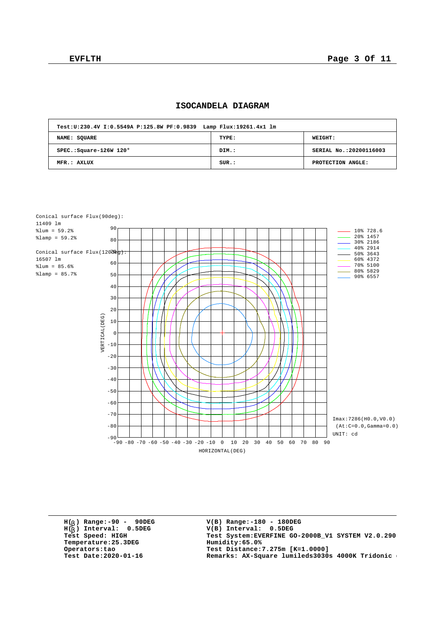# **ISOCANDELA DIAGRAM**

| Test: U: 230.4V I: 0.5549A P: 125.8W PF: 0.9839 Lamp Flux: 19261.4x1 lm |       |                        |
|-------------------------------------------------------------------------|-------|------------------------|
| NAME: SOUARE                                                            | TYPE: | WEIGHT:                |
| SPEC.: Square-126W 120°                                                 | DIM.: | SERIAL No.:20200116003 |
| MFR.: AXLUX                                                             | SUR.: | PROTECTION ANGLE:      |



**H( ) Range:-90 - 90DEG** H(<sub>b</sub>) Range:-90 - 90DE<br>H(<sub>b</sub>) Interval: 0.5DEG **b Temperature:25.3DEG Humidity:65.0%**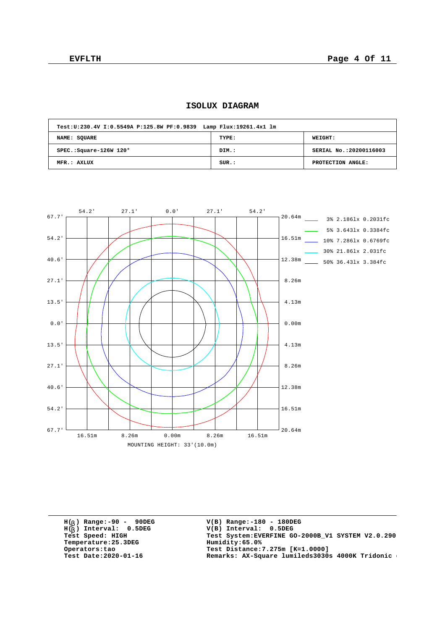| Test: U: 230.4V I: 0.5549A P: 125.8W PF: 0.9839 Lamp Flux: 19261.4x1 lm |       |                         |
|-------------------------------------------------------------------------|-------|-------------------------|
| NAME: SQUARE                                                            | TYPE: | WEIGHT:                 |
| SPEC.: Square-126W 120°                                                 | DIM.: | SERIAL No.: 20200116003 |
| MFR.: AXLUX                                                             | SUR:  | PROTECTION ANGLE:       |

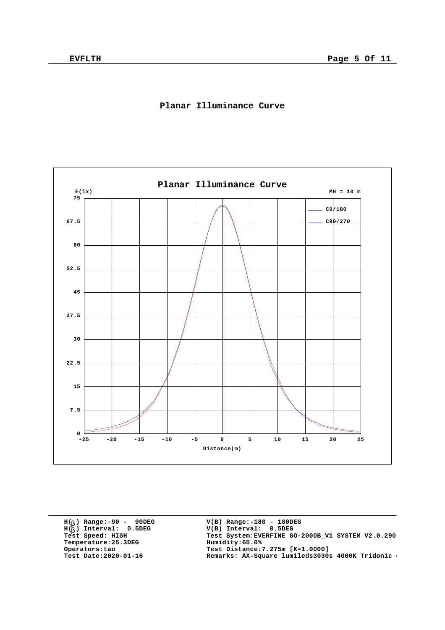

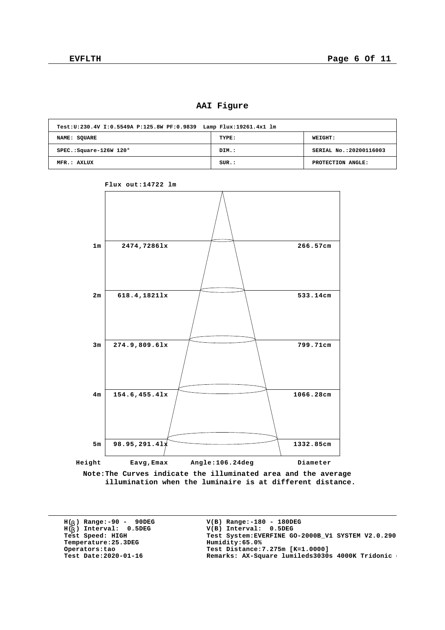## **AAI Figure**

| Test: U: 230.4V I: 0.5549A P: 125.8W PF: 0.9839 Lamp Flux: 19261.4x1 lm |       |                         |
|-------------------------------------------------------------------------|-------|-------------------------|
| NAME: SOUARE                                                            | TYPE: | WEIGHT:                 |
| SPEC.: Square-126W 120°                                                 | DIM.: | SERIAL No.: 20200116003 |
| MFR.: AXLUX                                                             | SUR.: | PROTECTION ANGLE:       |



**Flux out:14722 lm**

**Note:The Curves indicate the illuminated area and the average illumination when the luminaire is at different distance.**

**H( ) Range:-90 - 90DEG** H(<sub>b</sub>) Range:-90 - 90DE<br>H(<sub>b</sub>) Interval: 0.5DEG **b Temperature:25.3DEG Humidity:65.0%**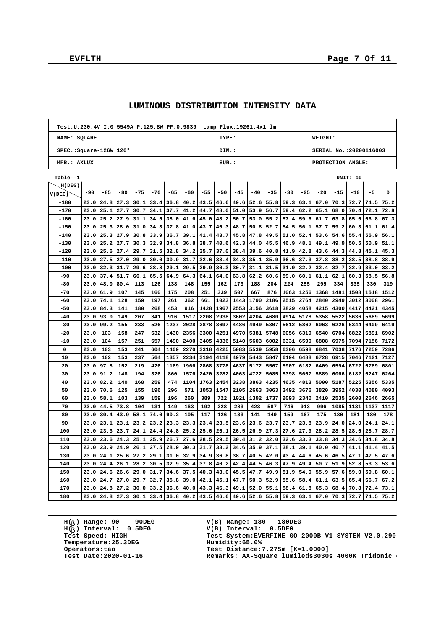|                                     | Test:U:230.4V I:0.5549A P:125.8W PF:0.9839 Lamp Flux:19261.4x1 lm |       |       |       |       |       |       |       |                               |       |       |       |       |       |                        |       |       |      |      |  |
|-------------------------------------|-------------------------------------------------------------------|-------|-------|-------|-------|-------|-------|-------|-------------------------------|-------|-------|-------|-------|-------|------------------------|-------|-------|------|------|--|
| NAME: SQUARE                        |                                                                   |       |       |       |       |       |       |       | TYPE:                         |       |       |       |       |       | WEIGHT:                |       |       |      |      |  |
| $SPEC.:$ Square-126W 120 $^{\circ}$ |                                                                   |       |       |       |       |       |       |       | DIM.:                         |       |       |       |       |       | SERIAL No.:20200116003 |       |       |      |      |  |
| MFR.: AXLUX                         |                                                                   |       |       |       |       |       |       |       | $SUR.$ :<br>PROTECTION ANGLE: |       |       |       |       |       |                        |       |       |      |      |  |
|                                     |                                                                   |       |       |       |       |       |       |       | UNIT: cd                      |       |       |       |       |       |                        |       |       |      |      |  |
| Table--1<br>H(DEG)                  |                                                                   |       |       |       |       |       |       |       |                               |       |       |       |       |       |                        |       |       |      |      |  |
|                                     | $-90$                                                             | $-85$ | $-80$ | $-75$ | $-70$ | $-65$ | $-60$ | $-55$ | $-50$                         | $-45$ | $-40$ | $-35$ | $-30$ | $-25$ | $-20$                  | $-15$ | $-10$ | $-5$ | 0    |  |
| V(DEG)<br>$-180$                    | 23.0                                                              | 24.8  | 27.3  | 30.1  | 33.4  | 36.8  | 40.2  | 43.5  | 46.6                          | 49.6  | 52.6  | 55.8  | 59.3  | 63.1  | 67.0                   | 70.3  | 72.7  | 74.5 | 75.2 |  |
| $-170$                              | 23.0                                                              | 25.1  | 27.7  | 30.7  | 34.1  | 37.7  | 41.2  | 44.7  | 48.0                          | 51.0  | 53.9  | 56.7  | 59.4  | 62.2  | 65.1                   | 68.0  | 70.4  | 72.1 | 72.8 |  |
| -160                                | 23.0                                                              | 25.2  | 27.9  | 31.1  | 34.5  | 38.0  | 41.6  | 45.0  | 48.2                          | 50.7  | 53.0  | 55.2  | 57.4  | 59.6  | 61.7                   | 63.8  | 65.6  | 66.8 | 67.3 |  |
| $-150$                              | 23.0                                                              | 25.3  | 28.0  | 31.0  | 34.3  | 37.8  | 41.0  | 43.7  | 46.3                          | 48.7  | 50.8  | 52.7  | 54.5  | 56.1  | 57.7                   | 59.2  | 60.3  | 61.1 | 61.4 |  |
| $-140$                              | 23.0                                                              | 25.3  | 27.9  | 30.8  | 33.9  | 36.7  | 39.1  | 41.4  | 43.7                          | 45.8  | 47.8  | 49.5  | 51.0  | 52.4  | 53.6                   | 54.6  | 55.4  | 55.9 | 56.1 |  |
| $-130$                              | 23.0                                                              | 25.2  | 27.7  | 30.3  | 32.9  | 34.8  | 36.8  | 38.7  | 40.6                          | 42.3  | 44.0  | 45.5  | 46.9  | 48.1  | 49.1                   | 49.9  | 50.5  | 50.9 | 51.1 |  |
| $-120$                              | 23.0                                                              | 25.6  | 27.4  | 29.7  | 31.5  | 32.8  | 34.2  | 35.7  | 37.0                          | 38.4  | 39.6  | 40.8  | 41.9  | 42.8  | 43.6                   | 44.3  | 44.8  | 45.1 | 45.3 |  |
| -110                                | 23.0                                                              | 27.5  | 27.0  | 29.0  | 30.0  | 30.9  | 31.7  | 32.6  | 33.4                          | 34.3  | 35.1  | 35.9  | 36.6  | 37.3  | 37.8                   | 38.2  | 38.5  | 38.8 | 38.9 |  |
| $-100$                              | 23.0                                                              | 32.3  | 31.7  | 29.6  | 28.8  | 29.1  | 29.5  | 29.9  | 30.3                          | 30.7  | 31.1  | 31.5  | 31.9  | 32.2  | 32.4                   | 32.7  | 32.9  | 33.0 | 33.2 |  |
| $-90$                               | 23.0                                                              | 37.4  | 51.7  | 66.1  | 65.5  | 64.9  | 64.3  | 64.1  | 64.0                          | 63.8  | 62.2  | 60.6  | 59.0  | 60.1  | 61.1                   | 62.1  | 60.3  | 58.5 | 56.8 |  |
| $-80$                               | 23.0                                                              | 48.0  | 80.4  | 113   | 126   | 138   | 148   | 155   | 162                           | 173   | 188   | 204   | 224   | 255   | 295                    | 334   | 335   | 330  | 319  |  |
| $-70$                               | 23.0                                                              | 61.9  | 107   | 145   | 160   | 175   | 208   | 251   | 339                           | 507   | 667   | 876   | 1063  | 1256  | 1368                   | 1481  | 1508  | 1518 | 1512 |  |
| $-60$                               | 23.0                                                              | 74.1  | 128   | 159   | 197   | 261   | 362   | 661   | 1023                          | 1443  | 1790  | 2186  | 2515  | 2764  | 2840                   | 2949  | 3012  | 3008 | 2961 |  |
| $-50$                               | 23.0                                                              | 84.3  | 141   | 180   | 268   | 453   | 916   | 1428  | 1967                          | 2553  | 3156  | 3618  | 3829  | 4058  | 4215                   | 4300  | 4417  | 4421 | 4345 |  |
| $-40$                               | 23.0                                                              | 93.0  | 149   | 207   | 341   | 916   | 1517  | 2208  | 2938                          | 3602  | 4204  | 4680  | 4914  | 5178  | 5358                   | 5522  | 5636  | 5689 | 5699 |  |
| -30                                 | 23.0                                                              | 99.2  | 155   | 233   | 526   | 1237  | 2028  | 2878  | 3697                          | 4486  | 4949  | 5307  | 5612  | 5862  | 6063                   | 6226  | 6344  | 6409 | 6419 |  |
| $-20$                               | 23.0                                                              | 103   | 158   | 247   | 632   | 1430  | 2356  | 3300  | 4251                          | 4970  | 5381  | 5748  | 6056  | 6319  | 6540                   | 6704  | 6822  | 6891 | 6902 |  |
| $-10$                               | 23.0                                                              | 104   | 157   | 251   | 657   | 1490  | 2400  | 3405  | 4336                          | 5140  | 5603  | 6002  | 6331  | 6590  | 6808                   | 6975  | 7094  | 7156 | 7172 |  |
| 0                                   | 23.0                                                              | 103   | 153   | 241   | 604   | 1409  | 2270  | 3318  | 4225                          | 5083  | 5539  | 5958  | 6306  | 6598  | 6841                   | 7038  | 7176  | 7259 | 7286 |  |
| 10                                  | 23.0                                                              | 102   | 153   | 237   | 564   | 1357  | 2234  | 3194  | 4118                          | 4979  | 5443  | 5847  | 6194  | 6488  | 6728                   | 6915  | 7046  | 7121 | 7127 |  |
| 20                                  | 23.0                                                              | 97.8  | 152   | 219   | 426   | 1169  | 1966  | 2868  | 3778                          | 4637  | 5172  | 5567  | 5907  | 6182  | 6409                   | 6594  | 6722  | 6789 | 6801 |  |
| 30                                  | 23.0                                                              | 91.2  | 148   | 194   | 326   | 860   | 1576  | 2420  | 3282                          | 4063  | 4722  | 5085  | 5398  | 5667  | 5889                   | 6066  | 6182  | 6247 | 6264 |  |
| 40                                  | 23.0                                                              | 82.2  | 140   | 168   | 259   | 474   | 1104  | 1763  | 2454                          | 3238  | 3863  | 4235  | 4635  | 4813  | 5000                   | 5187  | 5225  | 5356 | 5335 |  |
| 50                                  | 23.0                                                              | 70.6  | 125   | 155   | 196   | 296   | 571   | 1053  | 1547                          | 2105  | 2663  | 3063  | 3492  | 3676  | 3820                   | 3952  | 4030  | 4080 | 4093 |  |
| 60                                  | 23.0                                                              | 58.1  | 103   | 139   | 159   | 196   | 260   | 389   | 722                           | 1021  | 1392  | 1737  | 2093  | 2340  | 2410                   | 2535  | 2600  | 2646 | 2665 |  |
| 70                                  | 23.0                                                              | 44.5  | 73.8  | 104   | 131   | 149   | 163   | 192   | 228                           | 283   | 423   | 587   | 746   | 913   | 996                    | 1085  | 1131  | 1137 | 1117 |  |
| 80                                  | 23.0                                                              | 30.4  | 43.9  | 58.1  | 74.0  | 90.2  | 105   | 117   | 126                           | 133   | 141   | 149   | 159   | 167   | 175                    | 180   | 181   | 180  | 178  |  |
| 90                                  | 23.0                                                              | 23.1  | 23.1  | 23.2  | 23.2  | 23.3  | 23.3  | 23.4  | 23.5                          | 23.6  | 23.6  | 23.7  | 23.7  | 23.8  | 23.9                   | 24.0  | 24.0  | 24.1 | 24.1 |  |
| 100                                 | 23.0                                                              | 23.3  | 23.7  | 24.1  | 24.4  | 24.8  | 25.2  | 25.6  | 26.1                          | 26.5  | 26.9  | 27.3  | 27.6  | 27.9  | 28.2                   | 28.5  | 28.6  | 28.7 | 28.7 |  |
| 110                                 | 23.0                                                              | 23.6  | 24.3  | 25.1  | 25.9  | 26.7  | 27.6  | 28.5  | 29.5                          | 30.4  | 31.2  | 32.0  | 32.6  | 33.3  | 33.8                   | 34.3  | 34.6  | 34.8 | 34.8 |  |
| 120                                 | 23.0                                                              | 23.9  | 24.9  | 26.1  | 27.5  | 28.9  | 30.3  | 31.7  | 33.2                          | 34.6  | 35.9  | 37.1  | 38.1  | 39.1  | 40.0                   | 40.7  | 41.1  | 41.4 | 41.5 |  |
| 130                                 | 23.0                                                              | 24.1  | 25.6  | 27.2  | 29.1  | 31.0  | 32.9  | 34.9  | 36.8                          | 38.7  | 40.5  | 42.0  | 43.4  | 44.6  | 45.6                   | 46.5  | 47.1  | 47.5 | 47.6 |  |
| 140                                 | 23.0                                                              | 24.4  | 26.1  | 28.2  | 30.5  | 32.9  | 35.4  | 37.8  | 40.2                          | 42.4  | 44.5  | 46.3  | 47.9  | 49.4  | 50.7                   | 51.9  | 52.8  | 53.3 | 53.6 |  |
| 150                                 | 23.0                                                              | 24.6  | 26.6  | 29.0  | 31.7  | 34.6  | 37.5  | 40.3  | 43.0                          | 45.5  | 47.7  | 49.9  | 51.9  | 54.0  | 55.9                   | 57.6  | 59.0  | 59.8 | 60.1 |  |
| 160                                 | 23.0                                                              | 24.7  | 27.0  | 29.7  | 32.7  | 35.8  | 39.0  | 42.1  | 45.1                          | 47.7  | 50.3  | 52.9  | 55.6  | 58.4  | 61.1                   | 63.5  | 65.4  | 66.7 | 67.2 |  |
| 170                                 | 23.0                                                              | 24.8  | 27.2  | 30.0  | 33.2  | 36.6  | 40.0  | 43.3  | 46.3                          | 49.1  | 52.0  | 55.1  | 58.4  | 61.8  | 65.3                   | 68.4  | 70.8  | 72.4 | 73.1 |  |
| 180                                 | 23.0                                                              | 24.8  | 27.3  | 30.1  | 33.4  | 36.8  | 40.2  | 43.5  | 46.6                          | 49.6  | 52.6  | 55.8  | 59.3  | 63.1  | 67.0                   | 70.3  | 72.7  | 74.5 | 75.2 |  |

### **LUMINOUS DISTRIBUTION INTENSITY DATA**

**H( ) Range:-90 - 90DEG** H(<sub>b</sub>) Range:-90 - 90DE<br>H(<sub>b</sub>) Interval: 0.5DEG **b Temperature:25.3DEG**<br>Operators:tao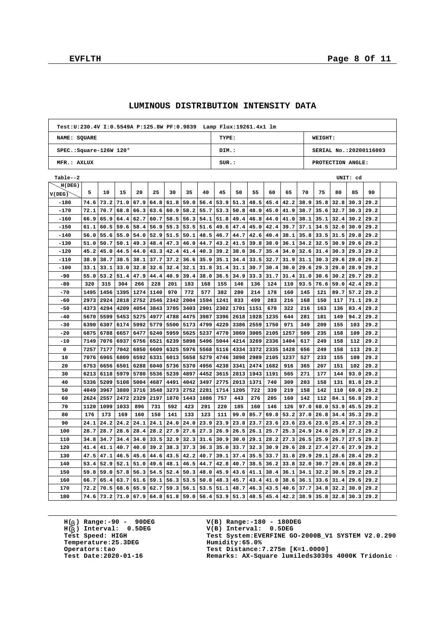|                                     |              |              |              |              |              |              |              |              | Test:U:230.4V I:0.5549A P:125.8W PF:0.9839 Lamp Flux:19261.4x1 lm |              |              |              |              |              |              |                         |              |              |  |
|-------------------------------------|--------------|--------------|--------------|--------------|--------------|--------------|--------------|--------------|-------------------------------------------------------------------|--------------|--------------|--------------|--------------|--------------|--------------|-------------------------|--------------|--------------|--|
| NAME: SQUARE                        |              |              |              |              |              |              |              |              | TYPE:                                                             |              |              |              |              |              | WEIGHT:      |                         |              |              |  |
| $SPEC.:$ Square-126W 120 $^{\circ}$ |              |              |              |              |              |              |              |              | DIM.:                                                             |              |              |              |              |              |              | SERIAL No.: 20200116003 |              |              |  |
| MFR.: AXLUX                         |              |              |              |              |              |              |              |              | SUR:<br>PROTECTION ANGLE:                                         |              |              |              |              |              |              |                         |              |              |  |
| Table--2                            |              |              |              |              |              |              |              |              |                                                                   | UNIT: cd     |              |              |              |              |              |                         |              |              |  |
| H(DEG)                              |              |              |              |              |              |              |              |              |                                                                   |              |              |              |              |              |              |                         |              |              |  |
| V(DEG)                              | 5            | 10           | 15           | 20           | 25           | 30           | 35           | 40           | 45                                                                | 50           | 55           | 60           | 65           | 70           | 75           | 80                      | 85           | 90           |  |
| $-180$                              | 74.6         | 73.2         | 71.0         | 67.9         | 64.8         | 61.8         | 59.0         | 56.4         | 53.9                                                              | 51.3         | 48.5         | 45.4         | 42.2         | 38.9         | 35.8         | 32.8                    | 30.3         | 29.2         |  |
| $-170$                              | 72.1         | 70.7         | 68.8         | 66.3         | 63.6         | 60.9         | 58.2         | 55.7         | 53.3                                                              | 50.8         | 48.0         | 45.0         | 41.9         | 38.7         | 35.6         | 32.7                    | 30.3         | 29.2         |  |
| $-160$                              | 66.9         | 65.9         | 64.4         | 62.7         | 60.7         | 58.5         | 56.3         | 54.1         | 51.8                                                              | 49.4         | 46.8         | 44.0         | 41.0         | 38.1         | 35.1         | 32.4                    | 30.2         | 29.2         |  |
| $-150$                              | 61.1         | 60.5         | 59.6         | 58.4         | 56.9         | 55.3         | 53.5         | 51.6         | 49.6                                                              | 47.4         | 45.0         | 42.4         | 39.7         | 37.1         | 34.5         | 32.0                    | 30.0         | 29.2         |  |
| $-140$                              | 56.0         | 55.6         | 55.0         | 54.0         | 52.9         | 51.5         | 50.1         | 48.5         | 46.7                                                              | 44.7         | 42.6         | 40.4         | 38.1         | 35.8         | 33.5         | 31.5                    | 29.8         | 29.2         |  |
| $-130$<br>$-120$                    | 51.0<br>45.2 | 50.7<br>45.0 | 50.1<br>44.5 | 49.3<br>44.0 | 48.4         | 47.3<br>42.4 | 46.0<br>41.4 | 44.7<br>40.3 | 43.2                                                              | 41.5<br>38.0 | 39.8         | 38.0<br>35.4 | 36.1         | 34.2<br>32.6 | 32.5         | 30.9<br>30.3            | 29.6<br>29.3 | 29.2<br>29.2 |  |
|                                     | 38.9         | 38.7         |              |              | 43.3         | 37.2         |              |              | 39.2                                                              |              | 36.7         |              | 34.0         |              | 31.4         |                         |              |              |  |
| $-110$<br>$-100$                    | 33.1         | 33.1         | 38.5<br>33.0 | 38.1<br>32.8 | 37.7<br>32.6 | 32.4         | 36.6<br>32.1 | 35.9<br>31.8 | 35.1<br>31.4                                                      | 34.4<br>31.1 | 33.5<br>30.7 | 32.7<br>30.4 | 31.9<br>30.0 | 31.1<br>29.6 | 30.3<br>29.3 | 29.6<br>29.0            | 29.0<br>28.9 | 29.2<br>29.2 |  |
| -90                                 | 55.0         | 53.2         | 51.4         | 47.9         | 44.4         | 40.9         | 39.4         | 38.0         | 36.5                                                              | 34.9         | 33.3         | 31.7         | 31.4         | 31.0         | 30.6         | 30.2                    | 29.7         | 29.2         |  |
| $-80$                               | 320          | 315          | 304          | 266          | 228          | 201          | 183          | 168          | 155                                                               | 146          | 136          | 124          | 110          | 93.5         | 76.6         | 59.0                    | 42.4         | 29.2         |  |
| $-70$                               | 1495         | 1456         | 1395         | 1274         | 1140         | 970          | 772          | 577          | 382                                                               | 280          | 214          | 178          | 160          | 145          | 121          | 89.7                    | 57.2         | 29.2         |  |
| -60                                 | 2973         | 2924         | 2818         | 2752         | 2546         | 2342         | 2004         | 1594         | 1241                                                              | 833          | 499          | 283          | 216          | 168          | 150          | 117                     | 71.1         | 29.2         |  |
| $-50$                               | 4373         | 4294         | 4209         | 4054         | 3843         | 3705         | 3403         | 2901         | 2302                                                              | 1701         | 1151         | 678          | 322          | 216          | 163          | 136                     | 83.4         | 29.2         |  |
| $-40$                               | 5670         | 5599         | 5453         | 5275         | 4977         | 4788         | 4475         | 3987         | 3396                                                              | 2618         | 1928         | 1235         | 644          | 281          | 181          | 149                     | 94.2         | 29.2         |  |
| $-30$                               | 6390         | 6307         | 6174         | 5992         | 5779         | 5500         | 5173         | 4799         | 4220                                                              | 3386         | 2559         | 1750         | 971          | 349          | 209          | 155                     | 103          | 29.2         |  |
| -20                                 | 6875         | 6788         | 6657         | 6477         | 6240         | 5959         | 5625         | 5237         | 4770                                                              | 3869         | 3005         | 2105         | 1257         | 509          | 235          | 158                     | 109          | 29.2         |  |
| $-10$                               | 7149         | 7076         | 6937         | 6756         | 6521         | 6239         | 5898         | 5496         | 5044                                                              | 4214         | 3269         | 2336         | 1404         | 617          | 249          | 158                     | 112          | 29.2         |  |
| 0                                   | 7257         | 7177         | 7042         | 6850         | 6609         | 6325         | 5976         | 5568         | 5116                                                              | 4334         | 3372         | 2335         | 1428         | 656          | 249          | 158                     | 113          | 29.2         |  |
| 10                                  | 7076         | 6965         | 6809         | 6592         | 6331         | 6013         | 5658         | 5279         | 4746                                                              | 3898         | 2989         | 2105         | 1237         | 527          | 233          | 155                     | 109          | 29.2         |  |
| 20                                  | 6753         | 6656         | 6501         | 6288         | 6040         | 5736         | 5370         | 4956         | 4238                                                              | 3341         | 2474         | 1682         | 916          | 365          | 207          | 151                     | 102          | 29.2         |  |
| 30                                  | 6213         | 6118         | 5979         | 5780         | 5536         | 5239         | 4897         | 4452         | 3615                                                              | 2813         | 1943         | 1191         | 565          | 271          | 177          | 144                     | 93.0         | 29.2         |  |
| 40                                  | 5336         | 5209         | 5108         | 5004         | 4687         | 4491         | 4042         | 3497         | 2775                                                              | 2013         | 1371         | 740          | 309          | 203          | 158          | 131                     | 81.8         | 29.2         |  |
| 50                                  | 4049         | 3967         | 3880         | 3716         | 3548         | 3273         | 2752         | 2281         | 1714                                                              | 1205         | 722          | 339          | 219          | 158          | 142          | 110                     | 69.0         | 29.2         |  |
| 60                                  | 2624         | 2557         | 2472         | 2329         | 2197         | 1870         | 1443         | 1086         | 757                                                               | 443          | 276          | 205          | 160          | 142          | 112          | 84.1                    | 56.8         | 29.2         |  |
| 70                                  | 1120         | 1099         | 1033         | 896          | 731          | 592          | 423          | 291          | 220                                                               | 185          | 160          | 146          | 126          | 97.0         | 68.0         | 53.9                    | 45.5         | 29.2         |  |
| 80                                  | 176          | 173          | 169          | 160          | 150          | 141          | 133          | 123          | 111                                                               | 99.0         | 85.7         | 69.8         | 53.2         | 37.0         | 26.8         | 34.4                    | 35.3         | 29.2         |  |
| 90                                  | 24.1         | 24.2         | 24.2         | 24.1         | 24.1         | 24.0         | 24.0         | 23.9         | 23.9                                                              | 23.8         | 23.7         | 23.6         | 23.6         | 23.6         | 23.6         | 25.4                    | 27.3         | 29.2         |  |
| 100                                 | 28.7         | 28.7         | 28.6         | 28.4         | 28.2         | 27.9         | 27.6         | 27.3         | 26.9                                                              | 26.5         | 26.1         | 25.7         | 25.3         | 24.9         | 24.6         | 25.9                    | 27.2         | 29.2         |  |
| 110                                 | 34.8         | 34.7         | 34.4         | 34.0         | 33.5         | 32.9         | 32.3         | 31.6         | 30.9                                                              | 30.0         | 29.1         | 28.2         | 27.3         | 26.5         | 25.9         | 26.7                    | 27.5         | 29.2         |  |
| 120                                 | 41.4         | 41.1         | 40.7         | 40.0         | 39.2         | 38.3         | 37.3         | 36.3         | 35.0                                                              | 33.7         | 32.3         | 30.9         | 29.6         | 28.2         | 27.4         | 27.6                    | 27.9         | 29.2         |  |
| 130                                 | 47.5         | 47.1         | 46.5         | 45.6         | 44.6         | 43.5         | 42.2         | 40.7         | 39.1                                                              | 37.4         | 35.5         | 33.7         | 31.8         | 29.9         | 29.1         | 28.6                    | 28.4         | 29.2         |  |
| 140                                 | 53.4         | 52.9         | 52.1         | 51.0         | 49.6         | 48.1         | 46.5         | 44.7         | 42.8                                                              | 40.7         | 38.5         | 36.2         | 33.8         | 32.0         | 30.7         | 29.6                    | 28.8         | 29.2         |  |
| 150                                 | 59.8         | 59.0         | 57.8         | 56.3         | 54.5         | 52.4         | 50.3         | 48.0         | 45.9                                                              | 43.6         | 41.1         | 38.4         | 36.1         | 34.1         | 32.2         | 30.5                    | 29.2         | 29.2         |  |
| 160                                 | 66.7         | 65.4         | 63.7         | 61.6         | 59.1         | 56.3         | 53.5         | 50.8         | 48.3                                                              | 45.7         | 43.4         | 41.0         | 38.6         | 36.1         | 33.6         | 31.4                    | 29.6         | 29.2         |  |
| 170                                 | 72.2         | 70.5         | 68.6         | 65.9         | 62.7         | 59.3         | 56.1         | 53.5         | 51.1                                                              | 48.7         | 46.3         | 43.5         | 40.6         | 37.7         | 34.8         | 32.2                    | 30.0         | 29.2         |  |
| 180                                 | 74.6         | 73.2         | 71.0         | 67.9         | 64.8         | 61.8         | 59.0         | 56.4         | 53.9                                                              | 51.3         | 48.5         | 45.4         | 42.2         | 38.9         | 35.8         | 32.8                    | 30.3         | 29.2         |  |

### **LUMINOUS DISTRIBUTION INTENSITY DATA**

**H( ) Range:-90 - 90DEG** H(<sub>b</sub>) Range:-90 - 90DE<br>H(<sub>b</sub>) Interval: 0.5DEG **b Temperature:25.3DEG**<br>Operators:tao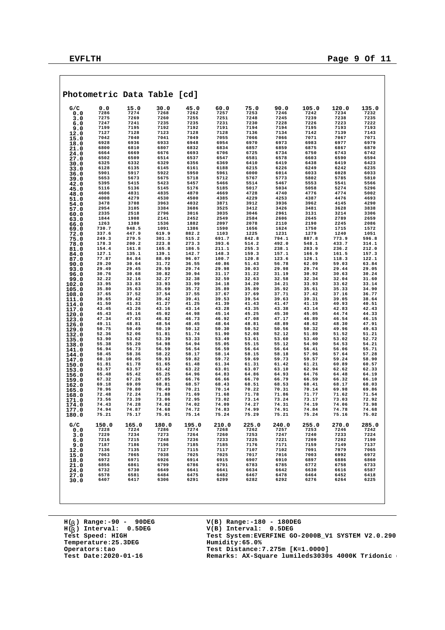|                |                |                | Photometric Data Table [cd] |                |                |                |                |                |                |                |
|----------------|----------------|----------------|-----------------------------|----------------|----------------|----------------|----------------|----------------|----------------|----------------|
| G/C            | 0.0            | 15.0           | 30.0                        | 45.0           | 60.0           | 75.0           | 90.0           | 105.0          | 120.0          | 135.0          |
| 0.0            | 7286           | 7274           | 7268                        | 7262           | 7257           | 7253           | 7246           | 7242           | 7234           | 7232           |
| 3.0            | 7275           | 7269           | 7260                        | 7255           | 7251           | 7248           | 7245           | 7239           | 7238           | 7235           |
| 6.0            | 7247<br>7199   | 7241<br>7195   | 7235<br>7192                | 7235           | 7231           | 7230           | 7228           | 7226<br>7195   | 7223           | 7222           |
| 9.0            | 7127           | 7128           | 7123                        | 7192<br>7128   | 7191<br>7128   | 7194<br>7136   | 7194<br>7134   | 7142           | 7193<br>7139   | 7193<br>7143   |
| 12.0           | 7042           | 7040           | 7041                        | 7049           | 7055           | 7066           | 7066           | 7071           | 7067           | 7071           |
| 15.0<br>18.0   | 6928           | 6936           | 6933                        | 6948           | 6954           | 6970           | 6973           | 6983           | 6977           | 6979           |
| 21.0           | 6800           | 6810           | 6807                        | 6832           | 6834           | 6857           | 6859           | 6875           | 6867           | 6870           |
| 24.0           | 6664           | 6669           | 6676                        | 6693           | 6706           | 6725           | 6734           | 6750           | 6743           | 6742           |
| 27.0           | 6502           | 6509           | 6514                        | 6537           | 6547           | 6581           | 6578           | 6603           | 6590           | 6594           |
| 30.0           | 6325           | 6332           | 6329                        | 6356           | 6369           | 6410           | 6419           | 6438           | 6419           | 6423           |
| 33.0           | 6128           | 6135           | 6145                        | 6161           | 6188           | 6215           | 6226           | 6249           | 6242           | 6235           |
| 36.0           | 5901           | 5917           | 5922                        | 5950           | 5961           | 6000           | 6014           | 6033           | 6028           | 6033           |
| 39.0           | 5653<br>5395   | 5673<br>5415   | 5675<br>5423                | 5718<br>5457   | 5712<br>5466   | 5767<br>5514   | 5773<br>5467   | 5802<br>5553   | 5785<br>5541   | 5810<br>5566   |
| 42.0<br>45.0   | 5116           | 5136           | 5145                        | 5176           | 5185           | 5017           | 5034           | 5058           | 5274           | 5296           |
| 48.0           | 4606           | 4831           | 4835                        | 4870           | 4669           | 4728           | 4740           | 4776           | 4774           | 5002           |
| 51.0           | 4008           | 4279           | 4530                        | 4500           | 4385           | 4229           | 4253           | 4387           | 4476           | 4693           |
| 54.0           | 3478           | 3708           | 3963                        | 4032           | 3871           | 3912           | 3936           | 3962           | 4145           | 4290           |
| 57.0           | 2954           | 3105           | 3384                        | 3686           | 3525           | 3412           | 3426           | 3481           | 3628           | 3838           |
| 60.0           | 2335           | 2518           | 2796                        | 3016           | 3035           | 3046           | 2961           | 3131           | 3214           | 3306           |
| 63.0           | 1844           | 1908           | 2141                        | 2452           | 2549           | 2584           | 2606           | 2645           | 2789           | 2659           |
| 66.0           | 1263           | 1380           | 1536                        | 1882           | 2097           | 2078           | 2110           | 2190           | 2245           | 2086           |
| 69.0           | 730.7<br>337.6 | 948.5<br>447.9 | 1091<br>619.9               | 1386<br>882.2  | 1590<br>1103   | 1656<br>1225   | 1624<br>1231   | 1750<br>1279   | 1715<br>1240   | 1572<br>1051   |
| 72.0<br>75.0   | 249.3          | 279.5          | 301.3                       | 515.2          | 691.7          | 842.8          | 794.1          | 887.8          | 773.9          | 596.8          |
| 78.0           | 178.3          | 200.2          | 223.8                       | 273.3          | 393.6          | 514.2          | 492.0          | 548.1          | 433.7          | 314.1          |
| 81.0           | 154.4          | 161.8          | 165.8                       | 186.5          | 211.1          | 255.3          | 238.1          | 283.9          | 236.2          | 212.0          |
| 84.0           | 127.1          | 135.1          | 139.1                       | 142.7          | 148.3          | 159.3          | 157.1          | 166.9          | 161.5          | 157.3          |
| 87.0           | 77.87          | 84.84          | 88.09                       | 96.07          | 100.7          | 120.8          | 123.6          | 126.1          | 118.3          | 122.1          |
| 90.0           | 29.20          | 30.64          | 31.72                       | 36.55          | 40.86          | 51.43          | 56.78          | 62.09          | 59.03          | 63.84          |
| 93.0           | 29.49          | 29.45          | 29.59                       | 29.74          | 29.98          | 30.03          | 29.98          | 29.74          | 29.44          | 29.05          |
| 96.0           | 30.76<br>32.22 | 30.68<br>32.16 | 30.82<br>32.27              | 30.94<br>32.38 | 31.17<br>32.59 | 31.22<br>32.63 | 31.19<br>32.58 | 30.92<br>32.34 | 30.63<br>32.04 | 30.24<br>31.60 |
| 99.0           | 33.95          | 33.83          | 33.93                       | 33.99          | 34.18          | 34.20          | 34.21          | 33.93          | 33.62          | 33.14          |
| 102.0<br>105.0 | 35.80          | 35.63          | 35.69                       | 35.72          | 35.89          | 35.89          | 35.92          | 35.61          | 35.33          | 34.90          |
| 108.0          | 37.65          | 37.52          | 37.54                       | 37.55          | 37.67          | 37.69          | 37.71          | 37.42          | 37.16          | 36.77          |
| 111.0          | 39.65          | 39.42          | 39.42                       | 39.41          | 39.53          | 39.54          | 39.63          | 39.31          | 39.05          | 38.64          |
| 114.0          | 41.50          | 41.33          | 41.27                       | 41.25          | 41.39          | 41.43          | 41.47          | 41.19          | 40.93          | 40.51          |
| 117.0          | 43.45          | 43.26          | 43.16                       | 43.14          | 43.28          | 43.35          | 43.38          | 43.14          | 42.83          | 42.43          |
| 120.0          | 45.43          | 45.16          | 45.02                       | 44.98          | 45.14          | 45.25          | 45.30          | 45.05          | 44.74          | 44.33          |
| 123.0          | 47.34          | 47.03          | 46.82<br>48.54              | 46.73<br>48.45 | 46.92<br>48.64 | 47.08          | 47.17<br>48.89 | 46.89          | 46.54<br>48.30 | 46.15<br>47.91 |
| 126.0          | 49.11<br>50.75 | 48.81<br>50.49 | 50.19                       | 50.12          | 50.30          | 48.81<br>50.52 | 50.56          | 48.62<br>50.32 | 49.96          | 49.63          |
| 129.0<br>132.0 | 52.36          | 52.06          | 51.81                       | 51.74          | 51.90          | 52.08          | 52.12          | 51.89          | 51.52          | 51.21          |
| 135.0          | 53.90          | 53.62          | 53.39                       | 53.33          | 53.49          | 53.61          | 53.60          | 53.40          | 53.02          | 52.72          |
| 138.0          | 55.38          | 55.20          | 54.98                       | 54.94          | 55.05          | 55.15          | 55.12          | 54.90          | 54.53          | 54.21          |
| 141.0          | 56.94          | 56.73          | 56.59                       | 56.54          | 56.59          | 56.64          | 56.64          | 56.41          | 56.06          | 55.71          |
| 144.0          | 58.45          | 58.36          | 58.22                       | 58.17          | 58.14          | 58.15          | 58.18          | 57.96          | 57.64          | 57.28          |
| 147.0          | 60.10          | 60.05          | 59.93                       | 59.82          | 59.72          | 59.69          | 59.73          | 59.57          | 59.24          | 58.90          |
| 150.0          | 61.81          | 61.78          | 61.65                       | 61.48          | 61.34          | 61.31          | 61.42          | 61.21          | 60.89          | 60.57          |
| 153.0<br>156.0 | 63.57<br>65.48 | 63.57<br>65.42 | 63.42<br>65.25              | 63.22<br>64.96 | 63.01<br>64.83 | 63.07<br>64.86 | 63.10<br>64.93 | 62.94<br>64.76 | 62.62<br>64.48 | 62.33<br>64.19 |
| 159.0          | 67.32          | 67.26          | 67.05                       | 66.76          | 66.66          | 66.70          | 66.79          | 66.59          | 66.32          | 66.10          |
| 162.0          | 69.18          | 69.09          | 68.81                       | 68.57          | 68.43          | 68.51          | 68.53          | 68.41          | 68.17          | 68.03          |
| 165.0          | 70.96          | 70.80          | 70.49                       | 70.21          | 70.14          | 70.22          | 70.31          | 70.14          | 69.98          | 69.86          |
| 168.0          | 72.48          | 72.24          | 71.88                       | 71.69          | 71.68          | 71.78          | 71.86          | 71.77          | 71.62          | 71.54          |
| 171.0          | 73.56          | 73.39          | 73.06                       | 72.95          | 73.02          | 73.14          | 73.24          | 73.17          | 73.03          | 72.92          |
| 174.0          | 74.43          | 74.28          | 74.02                       | 74.02          | 74.09          | 74.27          | 74.31          | 74.19          | 74.06          | 73.98          |
| 177.0          | 74.94<br>75.21 | 74.87<br>75.17 | 74.68<br>75.01              | 74.72<br>75.14 | 74.83<br>75.24 | 74.99<br>75.29 | 74.91<br>75.21 | 74.84<br>75.24 | 74.78<br>75.16 | 74.68<br>75.02 |
| 180.0          |                |                |                             |                |                |                |                |                |                |                |
| G/C            | 150.0          | 165.0          | 180.0                       | 195.0          | 210.0          | 225.0          | 240.0          | 255.0          | 270.0          | 285.0          |
| 0.0            | 7228           | 7224           | 7286                        | 7274           | 7268           | 7262           | 7257           | 7253           | 7246           | 7242           |
| 3.0            | 7229           | 7234           | 7273                        | 7264           | 7260           | 7253           | 7247           | 7240           | 7233           | 7224           |
| 6.0            | 7216           | 7215           | 7248                        | 7236           | 7233           | 7225           | 7221           | 7209           | 7202           | 7190           |
| 9.0            | 7187           | 7186           | 7196                        | 7185           | 7185           | 7176           | 7171           | 7159           | 7149           | 7137           |
| 12.0           | 7136           | 7135           | 7127                        | 7115           | 7117           | 7107           | 7102           | 7091           | 7079           | 7065           |
| 15.0           | 7063<br>6972   | 7065<br>6971   | 7038<br>6926                | 7025<br>6914   | 7025<br>6915   | 7017<br>6907   | 7016<br>6910   | 7003<br>6897   | 6992<br>6886   | 6972<br>6860   |
| 18.0           | 6856           | 6861           | 6799                        | 6786           | 6791           | 6783           | 6785           | 6772           | 6758           | 6733           |
| 21.0<br>24.0   | 6732           | 6730           | 6649                        | 6641           | 6641           | 6634           | 6642           | 6630           | 6616           | 6587           |
| 27.0           | 6578           | 6581           | 6484                        | 6475           | 6482           | 6467           | 6478           | 6464           | 6452           | 6418           |
| 30.0           | 6407           | 6417           | 6306                        | 6291           | 6299           | 6282           | 6292           | 6276           | 6264           | 6225           |
|                |                |                |                             |                |                |                |                |                |                |                |
|                |                |                |                             |                |                |                |                |                |                |                |
|                |                |                |                             |                |                |                |                |                |                |                |
|                |                |                |                             |                |                |                |                |                |                |                |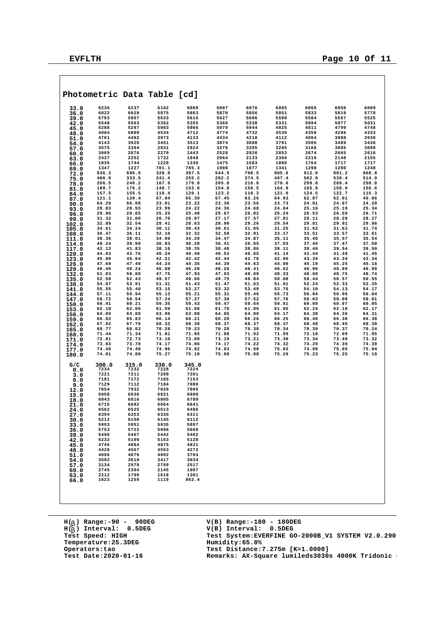|                | Photometric Data Table [cd] |                |                |                |                |                |                |                |                |                |
|----------------|-----------------------------|----------------|----------------|----------------|----------------|----------------|----------------|----------------|----------------|----------------|
| 33.0           | 6236                        | 6237           | 6102           | 6089           | 6097           | 6076           | 6085           | 6066           | 6050           | 6009           |
| 36.0           | 6022                        | 6029           | 5875           | 5863           | 5870           | 5856           | 5851           | 5833           | 5819           | 5778           |
| 39.0           | 5793                        | 5807           | 5633           | 5616           | 5627           | 5606           | 5598           | 5584           | 5567           | 5525           |
| 42.0           | 5548                        | 5563           | 5362           | 5355           | 5366           | 5338           | 5331           | 5094           | 5077           | 5031           |
| 45.0           | 5288                        | 5297           | 5083           | 5066           | 5079           | 5044           | 4825           | 4811           | 4799           | 4748           |
| 48.0           | 4984                        | 5009           | 4534           | 4712           | 4774           | 4732           | 4530           | 4359           | 4296           | 4333           |
| 51.0           | 4701<br>4143                | 4492<br>3920   | 3973<br>3451   | 4133<br>3513   | 4434<br>3874   | 4218<br>3880   | 4112<br>3701   | 4004<br>3505   | 3988<br>3489   | 3930<br>3436   |
| 54.0<br>57.0   | 3575                        | 3394           | 2931           | 2924           | 3276           | 3355           | 3205           | 3166           | 3085           | 3099           |
| 60.0           | 3069                        | 2876           | 2270           | 2443           | 2528           | 2826           | 2853           | 2674           | 2665           | 2616           |
| 63.0           | 2437                        | 2252           | 1732           | 1848           | 2064           | 2133           | 2366           | 2210           | 2148           | 2155           |
| 66.0           | 1835                        | 1744           | 1228           | 1330           | 1475           | 1583           | 1880           | 1764           | 1717           | 1717           |
| 69.0           | 1347                        | 1227           | 701.1          | 785.3          | 1008           | 1077           | 1341           | 1298           | 1280           | 1248           |
| 72.0           | 836.3                       | 696.9          | 328.8          | 397.5          | 544.5          | 708.5          | 905.6          | 912.0          | 881.2          | 868.8          |
| 75.0           | 406.9                       | 333.5          | 241.4          | 255.2          | 282.2          | 374.5          | 497.4          | 562.0          | 539.4          | 514.9          |
| 78.0           | 266.5<br>189.7              | 246.2          | 167.9          | 179.8          | 205.0          | 216.8<br>156.5 | 270.0          | 299.0          | 269.4<br>158.0 | 250.8          |
| 81.0           | 157.5                       | 176.2<br>155.5 | 148.7<br>118.4 | 153.8<br>120.1 | 154.8<br>123.2 | 118.3          | 164.9<br>121.0 | 165.8<br>124.5 | 122.7          | 156.6<br>115.3 |
| 84.0<br>87.0   | 121.1                       | 120.4          | 67.04          | 65.39          | 67.45          | 63.26          | 64.93          | 62.87          | 62.01          | 49.86          |
| 90.0           | 64.29                       | 66.08          | 23.01          | 23.22          | 23.30          | 23.56          | 23.73          | 24.01          | 24.07          | 24.20          |
| 93.0           | 28.83                       | 28.55          | 23.99          | 24.22          | 24.36          | 24.68          | 24.84          | 25.16          | 25.19          | 25.34          |
| 96.0           | 29.96                       | 29.65          | 25.25          | 25.48          | 25.67          | 26.02          | 26.24          | 26.53          | 26.59          | 26.71          |
| 99.0           | 31.32                       | 31.00          | 26.70          | 26.97          | 27.17          | 27.57          | 27.81          | 28.11          | 28.20          | 28.27          |
| 102.0          | 32.89                       | 32.54          | 28.41          | 28.63          | 28.90          | 29.26          | 29.54          | 29.81          | 29.91          | 29.96          |
| 105.0          | 34.61                       | 34.24          | 30.11          | 30.43          | 30.61          | 31.05          | 31.25          | 31.62          | 31.63          | 31.74          |
| 108.0          | 36.47<br>38.36              | 36.11<br>38.01 | 32.10<br>34.06 | 32.32<br>34.29 | 32.58<br>34.47 | 32.91<br>34.87 | 33.17<br>35.11 | 33.51<br>35.46 | 33.57<br>35.57 | 33.61<br>35.54 |
| 111.0<br>114.0 | 40.24                       | 39.90          | 36.03          | 36.28          | 36.41          | 36.85          | 37.03          | 37.45          | 37.47          | 37.50          |
| 117.0          | 42.13                       | 41.83          | 38.16          | 38.35          | 38.48          | 38.86          | 39.11          | 39.46          | 39.54          | 39.50          |
| 120.0          | 44.03                       | 43.76          | 40.24          | 40.40          | 40.53          | 40.85          | 41.14          | 41.44          | 41.49          | 41.45          |
| 123.0          | 45.88                       | 45.64          | 42.21          | 42.42          | 42.44          | 42.76          | 42.96          | 43.34          | 43.34          | 43.34          |
| 126.0          | 47.69                       | 47.49          | 44.24          | 44.35          | 44.39          | 44.63          | 44.90          | 45.19          | 45.25          | 45.18          |
| 129.0          | 49.40                       | 49.24          | 46.08          | 46.20          | 46.26          | 46.41          | 46.62          | 46.96          | 46.99          | 46.99          |
| 132.0          | 51.03                       | 50.88          | 47.75          | 47.93          | 47.93          | 48.09          | 48.33          | 48.68          | 48.75          | 48.74          |
| 135.0          | 52.58<br>54.07              | 52.43<br>53.91 | 49.57<br>51.31 | 49.66<br>51.43 | 49.75<br>51.47 | 49.84<br>51.63 | 50.08<br>51.91 | 50.44<br>52.24 | 50.57<br>52.33 | 50.55<br>52.35 |
| 138.0          | 55.55                       | 55.40          | 53.15          | 53.27          | 53.32          | 53.49          | 53.76          | 54.10          | 54.13          | 54.17          |
| 141.0<br>144.0 | 57.11                       | 56.94          | 55.13          | 55.21          | 55.31          | 55.46          | 55.73          | 56.04          | 56.06          | 56.04          |
| 147.0          | 58.72                       | 58.54          | 57.24          | 57.27          | 57.39          | 57.52          | 57.76          | 58.03          | 58.08          | 58.01          |
| 150.0          | 60.41                       | 60.21          | 59.35          | 59.43          | 59.47          | 59.64          | 59.81          | 60.09          | 60.07          | 60.05          |
| 153.0          | 62.18                       | 62.00          | 61.59          | 61.68          | 61.70          | 61.86          | 61.95          | 62.24          | 62.18          | 62.17          |
| 156.0          | 64.09                       | 63.88          | 63.96          | 63.98          | 64.05          | 64.09          | 64.17          | 64.38          | 64.36          | 64.31          |
| 159.0          | 66.02                       | 65.83          | 66.14          | 66.21          | 66.20          | 66.26          | 66.25          | 66.46          | 66.38          | 66.38          |
| 162.0          | 67.92<br>69.77              | 67.76<br>69.63 | 68.32<br>70.28 | 68.30<br>70.23 | 68.37<br>70.28 | 68.37<br>70.30 | 68.37<br>70.34 | 68.48<br>70.39 | 68.45<br>70.37 | 68.38<br>70.24 |
| 165.0<br>168.0 | 71.44                       | 71.34          | 71.81          | 71.85          | 71.88          | 71.92          | 71.99          | 72.10          | 72.09          | 71.95          |
| 171.0          | 72.81                       | 72.73          | 73.10          | 73.09          | 73.19          | 73.21          | 73.30          | 73.34          | 73.49          | 73.32          |
| 174.0          | 73.83                       | 73.70          | 74.17          | 74.06          | 74.17          | 74.22          | 74.32          | 74.29          | 74.39          | 74.39          |
| 177.0          | 74.48                       | 74.40          | 74.96          | 74.82          | 74.83          | 74.90          | 75.03          | 74.98          | 75.05          | 75.04          |
| 180.0          | 74.81                       | 74.80          | 75.27          | 75.10          | 75.08          | 75.08          | 75.29          | 75.23          | 75.25          | 75.18          |
| G/C            | 300.0                       | 315.0          | 330.0          | 345.0          |                |                |                |                |                |                |
| 0.0            | 7234                        | 7232           | 7228           | 7224           |                |                |                |                |                |                |
| 3.0            | 7221                        | 7211           | 7208           | 7201           |                |                |                |                |                |                |
| 6.0            | 7181                        | 7172           | 7165           | 7153           |                |                |                |                |                |                |
| 9.0            | 7129                        | 7112           | 7104           | 7089           |                |                |                |                |                |                |
| 12.0           | 7054                        | 7032           | 7020           | 7005           |                |                |                |                |                |                |
| 15.0           | 6958<br>6843                | 6936<br>6816   | 6921<br>6805   | 6900<br>6780   |                |                |                |                |                |                |
| 18.0<br>21.0   | 6715                        | 6682           | 6664           | 6641           |                |                |                |                |                |                |
| 24.0           | 6562                        | 6525           | 6513           | 6486           |                |                |                |                |                |                |
| 27.0           | 6394                        | 6353           | 6335           | 6311           |                |                |                |                |                |                |
| 30.0           | 6212                        | 6158           | 6145           | 6112           |                |                |                |                |                |                |
| 33.0           | 5993                        | 5951           | 5935           | 5897           |                |                |                |                |                |                |
| 36.0           | 5753                        | 5722           | 5696           | 5660           |                |                |                |                |                |                |
| 39.0           | 5496                        | 5467           | 5442           | 5402           |                |                |                |                |                |                |
| 42.0           | 5232                        | 5190           | 5163           | 5128           |                |                |                |                |                |                |
| 45.0           | 4746<br>4428                | 4884<br>4567   | 4875<br>4553   | 4831<br>4272   |                |                |                |                |                |                |
| 48.0           | 4096                        | 4076           | 4002           | 3704           |                |                |                |                |                |                |
| 51.0<br>54.0   | 3592                        | 3610           | 3417           | 3034           |                |                |                |                |                |                |
| 57.0           | 3134                        | 2978           | 2769           | 2517           |                |                |                |                |                |                |
| 60.0           | 2745                        | 2394           | 2145           | 1907           |                |                |                |                |                |                |
| 63.0           | 2212                        | 1799           | 1618           | 1381           |                |                |                |                |                |                |
| 66.0           | 1623                        | 1259           | 1119           | 862.4          |                |                |                |                |                |                |
|                |                             |                |                |                |                |                |                |                |                |                |
|                |                             |                |                |                |                |                |                |                |                |                |
|                |                             |                |                |                |                |                |                |                |                |                |
|                |                             |                |                |                |                |                |                |                |                |                |